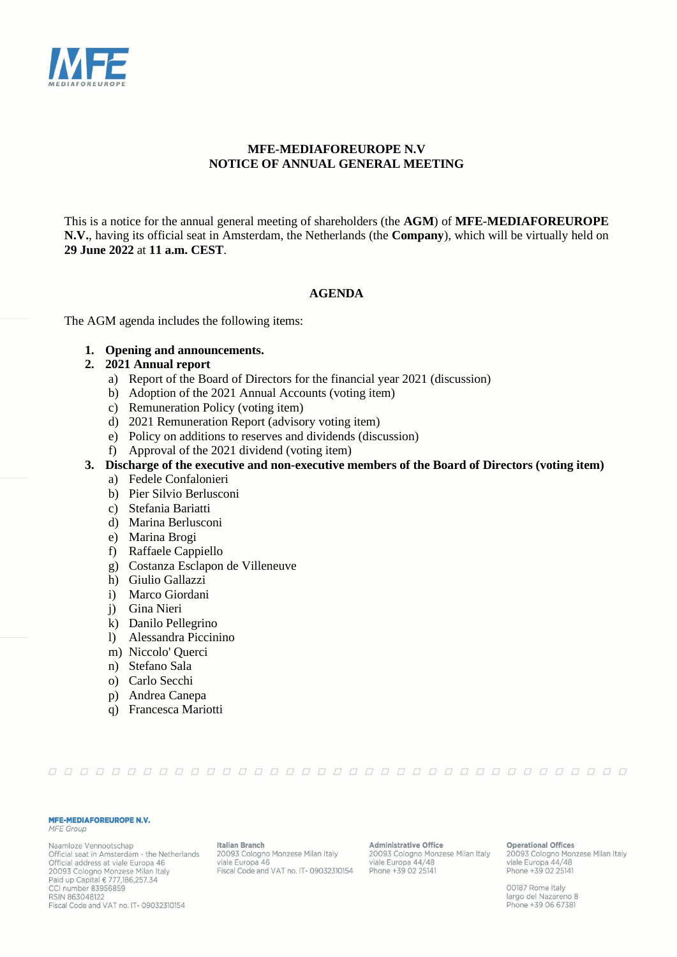

# **MFE-MEDIAFOREUROPE N.V NOTICE OF ANNUAL GENERAL MEETING**

This is a notice for the annual general meeting of shareholders (the **AGM**) of **MFE-MEDIAFOREUROPE N.V.**, having its official seat in Amsterdam, the Netherlands (the **Company**), which will be virtually held on **29 June 2022** at **11 a.m. CEST**.

## **AGENDA**

The AGM agenda includes the following items:

**1. Opening and announcements.** 

## **2. 2021 Annual report**

- a) Report of the Board of Directors for the financial year 2021 (discussion)
- b) Adoption of the 2021 Annual Accounts (voting item)
- c) Remuneration Policy (voting item)
- d) 2021 Remuneration Report (advisory voting item)
- e) Policy on additions to reserves and dividends (discussion)
- f) Approval of the 2021 dividend (voting item)
- **3. Discharge of the executive and non-executive members of the Board of Directors (voting item)**
	- a) Fedele Confalonieri
	- b) Pier Silvio Berlusconi
	- c) Stefania Bariatti
	- d) Marina Berlusconi
	- e) Marina Brogi
	- f) Raffaele Cappiello
	- g) Costanza Esclapon de Villeneuve
	- h) Giulio Gallazzi
	- i) Marco Giordani
	- j) Gina Nieri
	- k) Danilo Pellegrino
	- l) Alessandra Piccinino
	- m) Niccolo' Querci
	- n) Stefano Sala
	- o) Carlo Secchi
	- p) Andrea Canepa
	- q) Francesca Mariotti

#### 

#### MFE-MEDIAFOREUROPE N.V.

#### **MFE** Group

Naamloze Vennootschap Official seat in Amsterdam - the Netherlands Official address at viale Europa 46 20093 Cologno Monzese Milan Italy Paid up Capital € 777,186,257.34 CCI number 83956859 RSIN 863048122 Fiscal Code and VAT no. IT-09032310154

**Italian Branch** 20093 Cologno Monzese Milan Italy viale Europa 46 Fiscal Code and VAT no. IT-09032310154

**Administrative Office** 20093 Cologno Monzese Milan Italy<br>viale Europa 44/48 Phone +39 02 25141

**Operational Offices** 20093 Cologno Monzese Milan Italy<br>viale Europa 44/48 Phone +39 02 25141

00187 Rome Italy largo del Nazareno 8 Phone +39 06 67381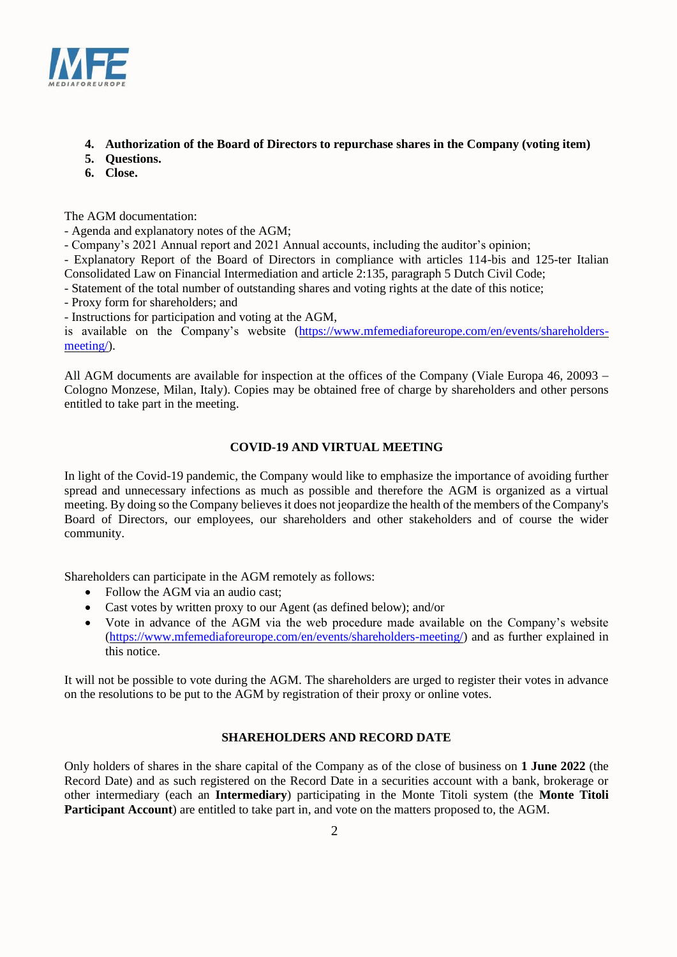

# **4. Authorization of the Board of Directors to repurchase shares in the Company (voting item)**

- **5. Questions.**
- **6. Close.**

The AGM documentation:

- Agenda and explanatory notes of the AGM;

- Company's 2021 Annual report and 2021 Annual accounts, including the auditor's opinion;

- Explanatory Report of the Board of Directors in compliance with articles 114-bis and 125-ter Italian Consolidated Law on Financial Intermediation and article 2:135, paragraph 5 Dutch Civil Code;

- Statement of the total number of outstanding shares and voting rights at the date of this notice;

- Proxy form for shareholders; and

- Instructions for participation and voting at the AGM,

is available on the Company's website (https://www.mfemediaforeurope.com/en/events/shareholdersmeeting/).

All AGM documents are available for inspection at the offices of the Company (Viale Europa 46, 20093 − Cologno Monzese, Milan, Italy). Copies may be obtained free of charge by shareholders and other persons entitled to take part in the meeting.

# **COVID-19 AND VIRTUAL MEETING**

In light of the Covid-19 pandemic, the Company would like to emphasize the importance of avoiding further spread and unnecessary infections as much as possible and therefore the AGM is organized as a virtual meeting. By doing so the Company believes it does not jeopardize the health of the members of the Company's Board of Directors, our employees, our shareholders and other stakeholders and of course the wider community.

Shareholders can participate in the AGM remotely as follows:

- Follow the AGM via an audio cast:
- Cast votes by written proxy to our Agent (as defined below); and/or
- Vote in advance of the AGM via the web procedure made available on the Company's website [\(https://www.mfemediaforeurope.com/en/events/shareholders-meeting/\)](https://www.mfemediaforeurope.com/en/events/shareholders-meeting/) and as further explained in this notice.

It will not be possible to vote during the AGM. The shareholders are urged to register their votes in advance on the resolutions to be put to the AGM by registration of their proxy or online votes.

# **SHAREHOLDERS AND RECORD DATE**

Only holders of shares in the share capital of the Company as of the close of business on **1 June 2022** (the Record Date) and as such registered on the Record Date in a securities account with a bank, brokerage or other intermediary (each an **Intermediary**) participating in the Monte Titoli system (the **Monte Titoli Participant Account**) are entitled to take part in, and vote on the matters proposed to, the AGM.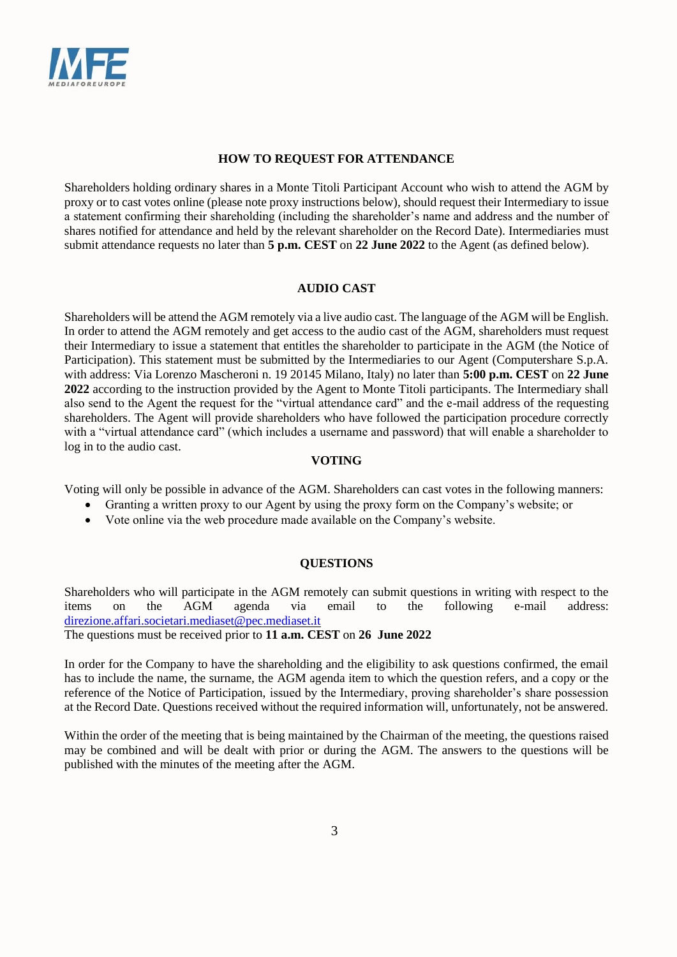

# **HOW TO REQUEST FOR ATTENDANCE**

Shareholders holding ordinary shares in a Monte Titoli Participant Account who wish to attend the AGM by proxy or to cast votes online (please note proxy instructions below), should request their Intermediary to issue a statement confirming their shareholding (including the shareholder's name and address and the number of shares notified for attendance and held by the relevant shareholder on the Record Date). Intermediaries must submit attendance requests no later than **5 p.m. CEST** on **22 June 2022** to the Agent (as defined below).

## **AUDIO CAST**

Shareholders will be attend the AGM remotely via a live audio cast. The language of the AGM will be English. In order to attend the AGM remotely and get access to the audio cast of the AGM, shareholders must request their Intermediary to issue a statement that entitles the shareholder to participate in the AGM (the Notice of Participation). This statement must be submitted by the Intermediaries to our Agent (Computershare S.p.A. with address: Via Lorenzo Mascheroni n. 19 20145 Milano, Italy) no later than **5:00 p.m. CEST** on **22 June 2022** according to the instruction provided by the Agent to Monte Titoli participants. The Intermediary shall also send to the Agent the request for the "virtual attendance card" and the e-mail address of the requesting shareholders. The Agent will provide shareholders who have followed the participation procedure correctly with a "virtual attendance card" (which includes a username and password) that will enable a shareholder to log in to the audio cast.

## **VOTING**

Voting will only be possible in advance of the AGM. Shareholders can cast votes in the following manners:

- Granting a written proxy to our Agent by using the proxy form on the Company's website; or
- Vote online via the web procedure made available on the Company's website.

# **QUESTIONS**

Shareholders who will participate in the AGM remotely can submit questions in writing with respect to the items on the AGM agenda via email to the following e-mail address: [direzione.affari.societari.mediaset@pec.mediaset.it](mailto:direzione.affari.societari.mediaset@pec.mediaset.it)

The questions must be received prior to **11 a.m. CEST** on **26 June 2022**

In order for the Company to have the shareholding and the eligibility to ask questions confirmed, the email has to include the name, the surname, the AGM agenda item to which the question refers, and a copy or the reference of the Notice of Participation, issued by the Intermediary, proving shareholder's share possession at the Record Date. Questions received without the required information will, unfortunately, not be answered.

Within the order of the meeting that is being maintained by the Chairman of the meeting, the questions raised may be combined and will be dealt with prior or during the AGM. The answers to the questions will be published with the minutes of the meeting after the AGM.